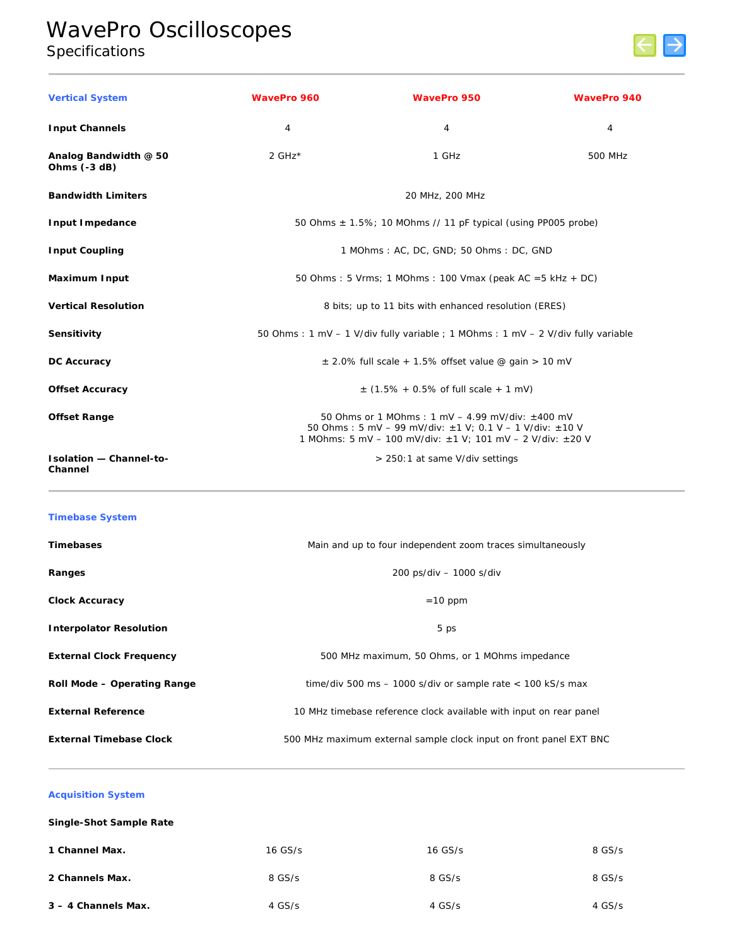# WavePro Oscilloscopes Specifications



| <b>Vertical System</b>                    | <b>WavePro 960</b>                                       | <b>WavePro 950</b>                                                                                                                                                                                 | <b>WavePro 940</b> |
|-------------------------------------------|----------------------------------------------------------|----------------------------------------------------------------------------------------------------------------------------------------------------------------------------------------------------|--------------------|
| <b>Input Channels</b>                     | $\overline{4}$                                           | 4                                                                                                                                                                                                  | 4                  |
| Analog Bandwidth @ 50<br>Ohms $(-3 dB)$   | 2 $GHz*$                                                 | 1 GHz                                                                                                                                                                                              | 500 MHz            |
| <b>Bandwidth Limiters</b>                 |                                                          | 20 MHz, 200 MHz                                                                                                                                                                                    |                    |
| <b>Input Impedance</b>                    |                                                          | 50 Ohms $\pm$ 1.5%; 10 MOhms // 11 pF typical (using PP005 probe)                                                                                                                                  |                    |
| <b>Input Coupling</b>                     |                                                          | 1 MOhms: AC, DC, GND; 50 Ohms: DC, GND                                                                                                                                                             |                    |
| <b>Maximum Input</b>                      |                                                          | 50 Ohms: 5 Vrms; 1 MOhms: 100 Vmax (peak AC = $5$ kHz + DC)                                                                                                                                        |                    |
| <b>Vertical Resolution</b>                |                                                          | 8 bits; up to 11 bits with enhanced resolution (ERES)                                                                                                                                              |                    |
| Sensitivity                               |                                                          | 50 Ohms: 1 mV - 1 V/div fully variable; 1 MOhms: 1 mV - 2 V/div fully variable                                                                                                                     |                    |
| <b>DC Accuracy</b>                        | $\pm$ 2.0% full scale + 1.5% offset value @ gain > 10 mV |                                                                                                                                                                                                    |                    |
| <b>Offset Accuracy</b>                    | $\pm$ (1.5% + 0.5% of full scale + 1 mV)                 |                                                                                                                                                                                                    |                    |
| <b>Offset Range</b>                       |                                                          | 50 Ohms or 1 MOhms: 1 mV $-$ 4.99 mV/div: $\pm$ 400 mV<br>50 Ohms: 5 mV - 99 mV/div: $\pm$ 1 V: 0.1 V - 1 V/div: $\pm$ 10 V<br>1 MOhms: 5 mV - 100 mV/div: $\pm$ 1 V; 101 mV - 2 V/div: $\pm$ 20 V |                    |
| <b>Isolation - Channel-to-</b><br>Channel |                                                          | > 250:1 at same V/div settings                                                                                                                                                                     |                    |

## **Timebase System**

| <b>Timebases</b>                | Main and up to four independent zoom traces simultaneously         |
|---------------------------------|--------------------------------------------------------------------|
| Ranges                          | 200 ps/div - 1000 s/div                                            |
| <b>Clock Accuracy</b>           | $=10$ ppm                                                          |
| <b>Interpolator Resolution</b>  | 5 ps                                                               |
| <b>External Clock Frequency</b> | 500 MHz maximum, 50 Ohms, or 1 MOhms impedance                     |
| Roll Mode - Operating Range     | time/div 500 ms $-$ 1000 s/div or sample rate $<$ 100 kS/s max     |
| <b>External Reference</b>       | 10 MHz timebase reference clock available with input on rear panel |
| <b>External Timebase Clock</b>  | 500 MHz maximum external sample clock input on front panel EXT BNC |

# **Acquisition System**

| Single-Shot Sample Rate |         |           |        |
|-------------------------|---------|-----------|--------|
| 1 Channel Max.          | 16 GS/s | $16$ GS/s | 8 GS/s |
| 2 Channels Max.         | 8 GS/s  | 8 GS/s    | 8 GS/s |
| 3 - 4 Channels Max.     | 4 GS/s  | $4$ GS/s  | 4 GS/s |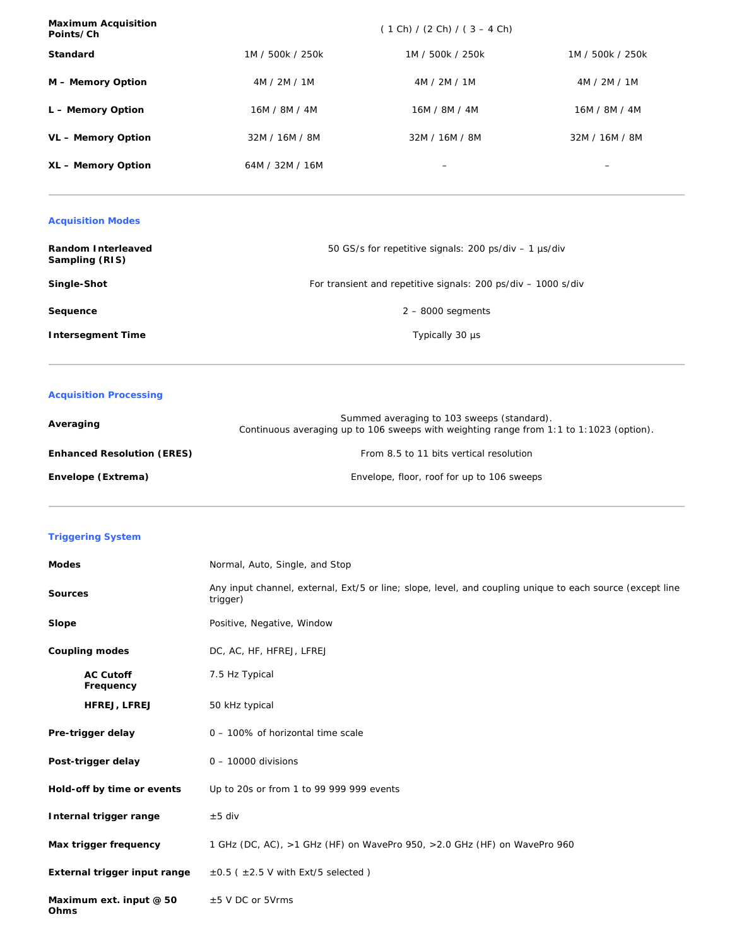| <b>Maximum Acquisition</b><br>Points/Ch |                  | $(1 Ch) / (2 Ch) / (3 - 4 Ch)$ |                  |
|-----------------------------------------|------------------|--------------------------------|------------------|
| <b>Standard</b>                         | 1M / 500k / 250k | 1M / 500k / 250k               | 1M / 500k / 250k |
| M - Memory Option                       | 4M / 2M / 1M     | 4M / 2M / 1M                   | 4M / 2M / 1M     |
| L - Memory Option                       | 16M / 8M / 4M    | 16M / 8M / 4M                  | 16M / 8M / 4M    |
| VL - Memory Option                      | 32M / 16M / 8M   | 32M / 16M / 8M                 | 32M / 16M / 8M   |
| XL - Memory Option                      | 64M / 32M / 16M  | $\overline{\phantom{0}}$       | -                |

## **Acquisition Modes**

| <b>Random Interleaved</b><br>Sampling (RIS) | 50 GS/s for repetitive signals: 200 ps/div – 1 µs/div         |
|---------------------------------------------|---------------------------------------------------------------|
| Single-Shot                                 | For transient and repetitive signals: 200 ps/div – 1000 s/div |
| Sequence                                    | $2 - 8000$ segments                                           |
| <b>Intersegment Time</b>                    | Typically 30 µs                                               |

# **Acquisition Processing**

| Averaging                         | Summed averaging to 103 sweeps (standard).<br>Continuous averaging up to 106 sweeps with weighting range from 1:1 to 1:1023 (option). |
|-----------------------------------|---------------------------------------------------------------------------------------------------------------------------------------|
| <b>Enhanced Resolution (ERES)</b> | From 8.5 to 11 bits vertical resolution                                                                                               |
| Envelope (Extrema)                | Envelope, floor, roof for up to 106 sweeps                                                                                            |

## **Triggering System**

| <b>Modes</b>                    | Normal, Auto, Single, and Stop                                                                                        |
|---------------------------------|-----------------------------------------------------------------------------------------------------------------------|
| <b>Sources</b>                  | Any input channel, external, Ext/5 or line; slope, level, and coupling unique to each source (except line<br>trigger) |
| Slope                           | Positive, Negative, Window                                                                                            |
| <b>Coupling modes</b>           | DC, AC, HF, HFREJ, LFREJ                                                                                              |
| <b>AC Cutoff</b><br>Frequency   | 7.5 Hz Typical                                                                                                        |
| HFREJ, LFREJ                    | 50 kHz typical                                                                                                        |
| Pre-trigger delay               | 0 - 100% of horizontal time scale                                                                                     |
| Post-trigger delay              | $0 - 10000$ divisions                                                                                                 |
| Hold-off by time or events      | Up to 20s or from 1 to 99 999 999 events                                                                              |
| Internal trigger range          | $±5$ div                                                                                                              |
| Max trigger frequency           | 1 GHz (DC, AC), >1 GHz (HF) on WavePro 950, >2.0 GHz (HF) on WavePro 960                                              |
| External trigger input range    | $\pm 0.5$ ( $\pm 2.5$ V with Ext/5 selected)                                                                          |
| Maximum ext. input @ 50<br>Ohms | ±5 V DC or 5Vrms                                                                                                      |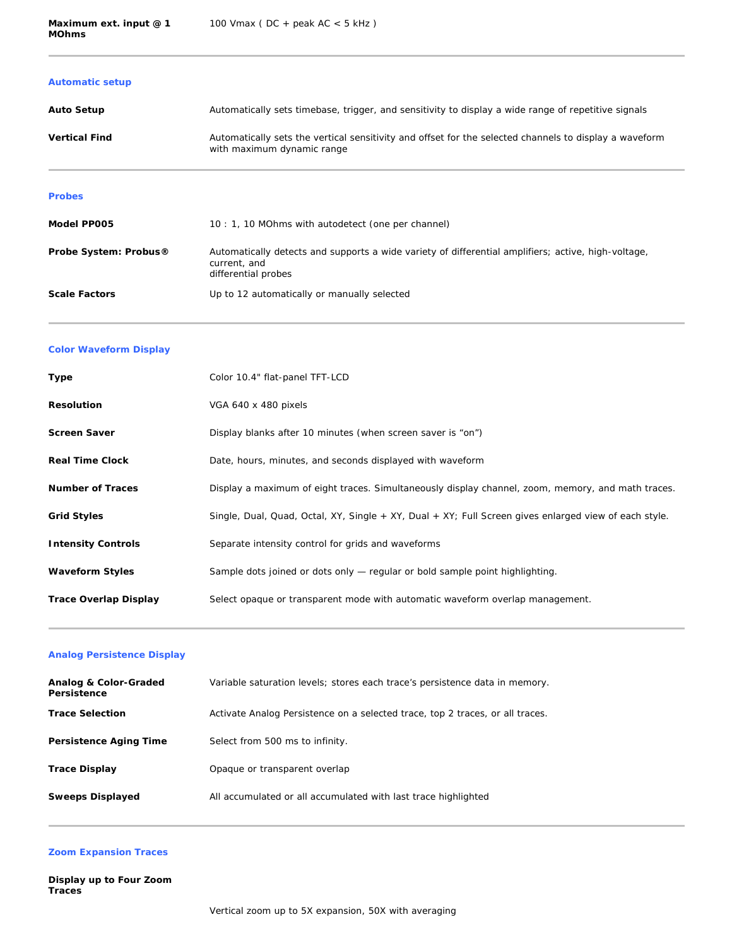## **Automatic setup**

| <b>Auto Setup</b>    | Automatically sets timebase, trigger, and sensitivity to display a wide range of repetitive signals                                  |
|----------------------|--------------------------------------------------------------------------------------------------------------------------------------|
| <b>Vertical Find</b> | Automatically sets the vertical sensitivity and offset for the selected channels to display a waveform<br>with maximum dynamic range |

#### **Probes**

| Model PP005                       | 10: 1, 10 MOhms with autodetect (one per channel)                                                                                          |
|-----------------------------------|--------------------------------------------------------------------------------------------------------------------------------------------|
| Probe System: Probus <sup>®</sup> | Automatically detects and supports a wide variety of differential amplifiers; active, high-voltage,<br>current, and<br>differential probes |
| <b>Scale Factors</b>              | Up to 12 automatically or manually selected                                                                                                |

#### **Color Waveform Display**

| Type                      | Color 10.4" flat-panel TFT-LCD                                                                        |
|---------------------------|-------------------------------------------------------------------------------------------------------|
| <b>Resolution</b>         | VGA 640 x 480 pixels                                                                                  |
| <b>Screen Saver</b>       | Display blanks after 10 minutes (when screen saver is "on")                                           |
| <b>Real Time Clock</b>    | Date, hours, minutes, and seconds displayed with waveform                                             |
| <b>Number of Traces</b>   | Display a maximum of eight traces. Simultaneously display channel, zoom, memory, and math traces.     |
| <b>Grid Styles</b>        | Single, Dual, Quad, Octal, XY, Single + XY, Dual + XY; Full Screen gives enlarged view of each style. |
| <b>Intensity Controls</b> | Separate intensity control for grids and waveforms                                                    |
| <b>Waveform Styles</b>    | Sample dots joined or dots only — regular or bold sample point highlighting.                          |
| Trace Overlap Display     | Select opaque or transparent mode with automatic waveform overlap management.                         |

## **Analog Persistence Display**

| Analog & Color-Graded<br>Persistence | Variable saturation levels; stores each trace's persistence data in memory.   |
|--------------------------------------|-------------------------------------------------------------------------------|
| <b>Trace Selection</b>               | Activate Analog Persistence on a selected trace, top 2 traces, or all traces. |
| Persistence Aging Time               | Select from 500 ms to infinity.                                               |
| <b>Trace Display</b>                 | Opaque or transparent overlap                                                 |
| <b>Sweeps Displayed</b>              | All accumulated or all accumulated with last trace highlighted                |

## **Zoom Expansion Traces**

**Display up to Four Zoom Traces**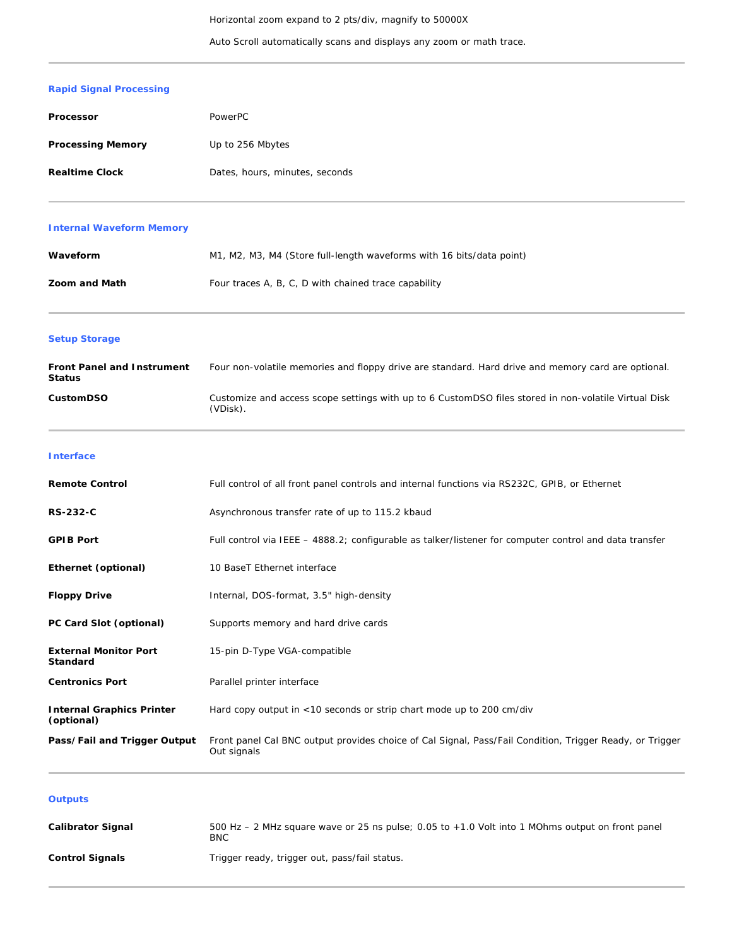Auto Scroll automatically scans and displays any zoom or math trace.

# **Rapid Signal Processing**

| Processor                | PowerPC                        |
|--------------------------|--------------------------------|
| <b>Processing Memory</b> | Up to 256 Mbytes               |
| <b>Realtime Clock</b>    | Dates, hours, minutes, seconds |

## **Internal Waveform Memory**

| Waveform             | M1, M2, M3, M4 (Store full-length waveforms with 16 bits/data point) |
|----------------------|----------------------------------------------------------------------|
| <b>Zoom and Math</b> | Four traces A, B, C, D with chained trace capability                 |

# **Setup Storage**

| <b>Front Panel and Instrument</b><br><b>Status</b> | Four non-volatile memories and floppy drive are standard. Hard drive and memory card are optional.               |
|----------------------------------------------------|------------------------------------------------------------------------------------------------------------------|
| <b>CustomDSO</b>                                   | Customize and access scope settings with up to 6 CustomDSO files stored in non-volatile Virtual Disk<br>(VDisk). |

**Interface**

| <b>Remote Control</b>                          | Full control of all front panel controls and internal functions via RS232C, GPIB, or Ethernet                           |
|------------------------------------------------|-------------------------------------------------------------------------------------------------------------------------|
| <b>RS-232-C</b>                                | Asynchronous transfer rate of up to 115.2 kbaud                                                                         |
| <b>GPIB Port</b>                               | Full control via IEEE – 4888.2; configurable as talker/listener for computer control and data transfer                  |
| Ethernet (optional)                            | 10 BaseT Ethernet interface                                                                                             |
| <b>Floppy Drive</b>                            | Internal, DOS-format, 3.5" high-density                                                                                 |
| PC Card Slot (optional)                        | Supports memory and hard drive cards                                                                                    |
| <b>External Monitor Port</b><br>Standard       | 15-pin D-Type VGA-compatible                                                                                            |
| <b>Centronics Port</b>                         | Parallel printer interface                                                                                              |
| <b>Internal Graphics Printer</b><br>(optional) | Hard copy output in <10 seconds or strip chart mode up to 200 cm/div                                                    |
| Pass/Fail and Trigger Output                   | Front panel Cal BNC output provides choice of Cal Signal, Pass/Fail Condition, Trigger Ready, or Trigger<br>Out signals |

## **Outputs**

| <b>Calibrator Signal</b> | 500 Hz – 2 MHz square wave or 25 ns pulse; 0.05 to $+1.0$ Volt into 1 MOhms output on front panel<br><b>BNC</b> |
|--------------------------|-----------------------------------------------------------------------------------------------------------------|
| <b>Control Signals</b>   | Trigger ready, trigger out, pass/fail status.                                                                   |